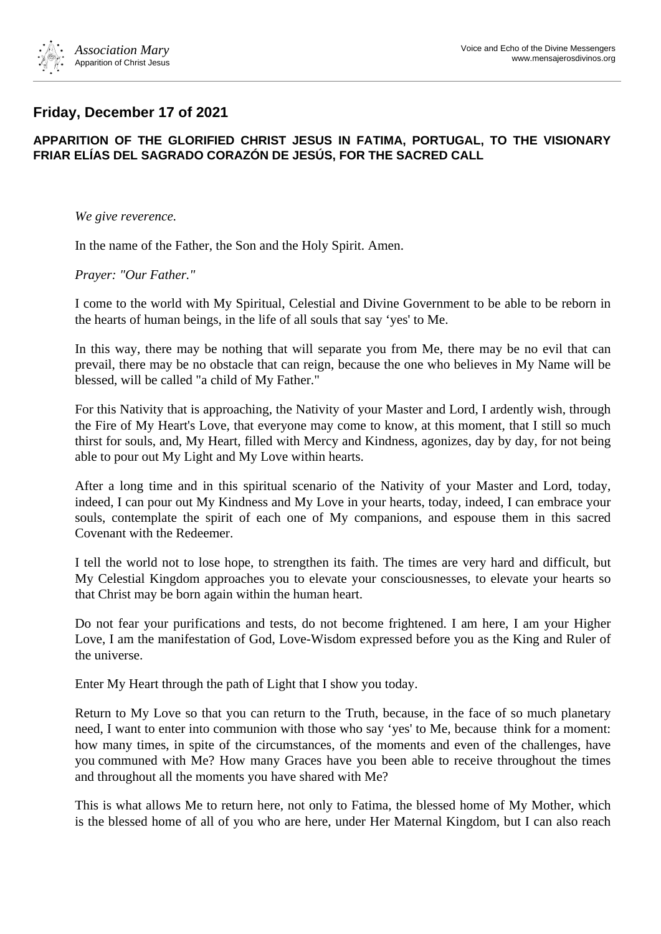

## **Friday, December 17 of 2021**

## **APPARITION OF THE GLORIFIED CHRIST JESUS IN FATIMA, PORTUGAL, TO THE VISIONARY FRIAR ELÍAS DEL SAGRADO CORAZÓN DE JESÚS, FOR THE SACRED CALL**

*We give reverence.*

In the name of the Father, the Son and the Holy Spirit. Amen.

*Prayer: "Our Father."*

I come to the world with My Spiritual, Celestial and Divine Government to be able to be reborn in the hearts of human beings, in the life of all souls that say 'yes' to Me.

In this way, there may be nothing that will separate you from Me, there may be no evil that can prevail, there may be no obstacle that can reign, because the one who believes in My Name will be blessed, will be called "a child of My Father."

For this Nativity that is approaching, the Nativity of your Master and Lord, I ardently wish, through the Fire of My Heart's Love, that everyone may come to know, at this moment, that I still so much thirst for souls, and, My Heart, filled with Mercy and Kindness, agonizes, day by day, for not being able to pour out My Light and My Love within hearts.

After a long time and in this spiritual scenario of the Nativity of your Master and Lord, today, indeed, I can pour out My Kindness and My Love in your hearts, today, indeed, I can embrace your souls, contemplate the spirit of each one of My companions, and espouse them in this sacred Covenant with the Redeemer.

I tell the world not to lose hope, to strengthen its faith. The times are very hard and difficult, but My Celestial Kingdom approaches you to elevate your consciousnesses, to elevate your hearts so that Christ may be born again within the human heart.

Do not fear your purifications and tests, do not become frightened. I am here, I am your Higher Love, I am the manifestation of God, Love-Wisdom expressed before you as the King and Ruler of the universe.

Enter My Heart through the path of Light that I show you today.

Return to My Love so that you can return to the Truth, because, in the face of so much planetary need, I want to enter into communion with those who say 'yes' to Me, because think for a moment: how many times, in spite of the circumstances, of the moments and even of the challenges, have you communed with Me? How many Graces have you been able to receive throughout the times and throughout all the moments you have shared with Me?

This is what allows Me to return here, not only to Fatima, the blessed home of My Mother, which is the blessed home of all of you who are here, under Her Maternal Kingdom, but I can also reach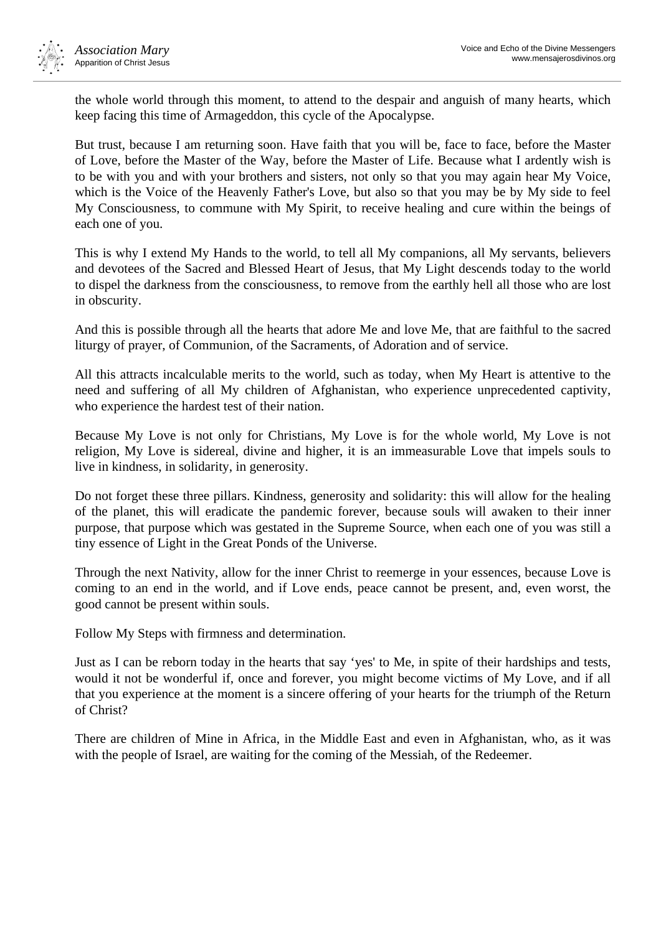

the whole world through this moment, to attend to the despair and anguish of many hearts, which keep facing this time of Armageddon, this cycle of the Apocalypse.

But trust, because I am returning soon. Have faith that you will be, face to face, before the Master of Love, before the Master of the Way, before the Master of Life. Because what I ardently wish is to be with you and with your brothers and sisters, not only so that you may again hear My Voice, which is the Voice of the Heavenly Father's Love, but also so that you may be by My side to feel My Consciousness, to commune with My Spirit, to receive healing and cure within the beings of each one of you.

This is why I extend My Hands to the world, to tell all My companions, all My servants, believers and devotees of the Sacred and Blessed Heart of Jesus, that My Light descends today to the world to dispel the darkness from the consciousness, to remove from the earthly hell all those who are lost in obscurity.

And this is possible through all the hearts that adore Me and love Me, that are faithful to the sacred liturgy of prayer, of Communion, of the Sacraments, of Adoration and of service.

All this attracts incalculable merits to the world, such as today, when My Heart is attentive to the need and suffering of all My children of Afghanistan, who experience unprecedented captivity, who experience the hardest test of their nation.

Because My Love is not only for Christians, My Love is for the whole world, My Love is not religion, My Love is sidereal, divine and higher, it is an immeasurable Love that impels souls to live in kindness, in solidarity, in generosity.

Do not forget these three pillars. Kindness, generosity and solidarity: this will allow for the healing of the planet, this will eradicate the pandemic forever, because souls will awaken to their inner purpose, that purpose which was gestated in the Supreme Source, when each one of you was still a tiny essence of Light in the Great Ponds of the Universe.

Through the next Nativity, allow for the inner Christ to reemerge in your essences, because Love is coming to an end in the world, and if Love ends, peace cannot be present, and, even worst, the good cannot be present within souls.

Follow My Steps with firmness and determination.

Just as I can be reborn today in the hearts that say 'yes' to Me, in spite of their hardships and tests, would it not be wonderful if, once and forever, you might become victims of My Love, and if all that you experience at the moment is a sincere offering of your hearts for the triumph of the Return of Christ?

There are children of Mine in Africa, in the Middle East and even in Afghanistan, who, as it was with the people of Israel, are waiting for the coming of the Messiah, of the Redeemer.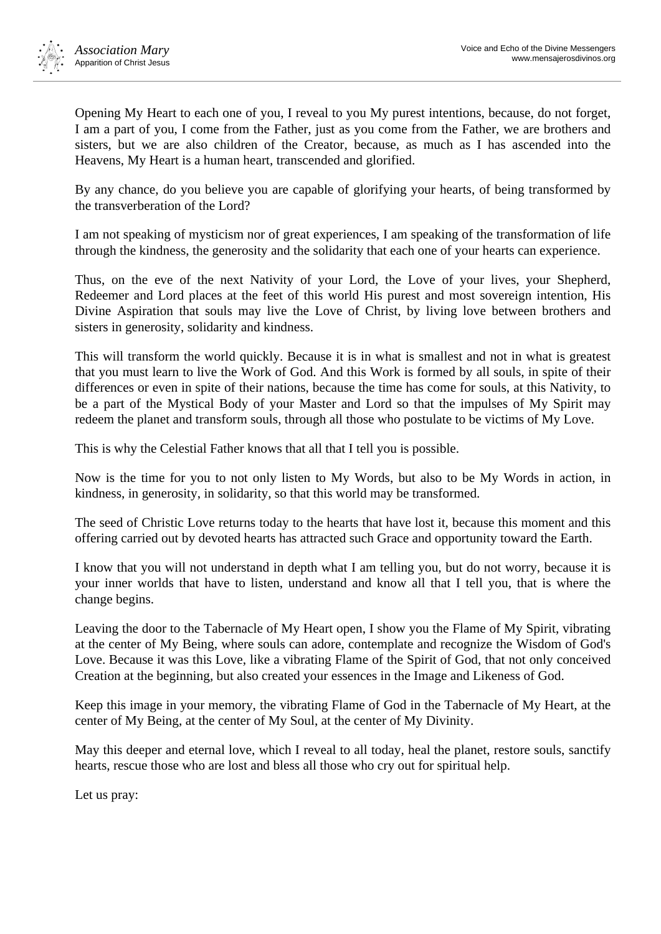

Opening My Heart to each one of you, I reveal to you My purest intentions, because, do not forget, I am a part of you, I come from the Father, just as you come from the Father, we are brothers and sisters, but we are also children of the Creator, because, as much as I has ascended into the Heavens, My Heart is a human heart, transcended and glorified.

By any chance, do you believe you are capable of glorifying your hearts, of being transformed by the transverberation of the Lord?

I am not speaking of mysticism nor of great experiences, I am speaking of the transformation of life through the kindness, the generosity and the solidarity that each one of your hearts can experience.

Thus, on the eve of the next Nativity of your Lord, the Love of your lives, your Shepherd, Redeemer and Lord places at the feet of this world His purest and most sovereign intention, His Divine Aspiration that souls may live the Love of Christ, by living love between brothers and sisters in generosity, solidarity and kindness.

This will transform the world quickly. Because it is in what is smallest and not in what is greatest that you must learn to live the Work of God. And this Work is formed by all souls, in spite of their differences or even in spite of their nations, because the time has come for souls, at this Nativity, to be a part of the Mystical Body of your Master and Lord so that the impulses of My Spirit may redeem the planet and transform souls, through all those who postulate to be victims of My Love.

This is why the Celestial Father knows that all that I tell you is possible.

Now is the time for you to not only listen to My Words, but also to be My Words in action, in kindness, in generosity, in solidarity, so that this world may be transformed.

The seed of Christic Love returns today to the hearts that have lost it, because this moment and this offering carried out by devoted hearts has attracted such Grace and opportunity toward the Earth.

I know that you will not understand in depth what I am telling you, but do not worry, because it is your inner worlds that have to listen, understand and know all that I tell you, that is where the change begins.

Leaving the door to the Tabernacle of My Heart open, I show you the Flame of My Spirit, vibrating at the center of My Being, where souls can adore, contemplate and recognize the Wisdom of God's Love. Because it was this Love, like a vibrating Flame of the Spirit of God, that not only conceived Creation at the beginning, but also created your essences in the Image and Likeness of God.

Keep this image in your memory, the vibrating Flame of God in the Tabernacle of My Heart, at the center of My Being, at the center of My Soul, at the center of My Divinity.

May this deeper and eternal love, which I reveal to all today, heal the planet, restore souls, sanctify hearts, rescue those who are lost and bless all those who cry out for spiritual help.

Let us pray: